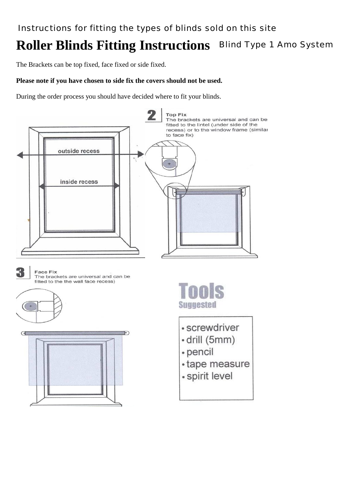# **Roller Blinds Fitting Instructions** Blind Type 1 Amo System

The Brackets can be top fixed, face fixed or side fixed.

## **Please note if you have chosen to side fix the covers should not be used.**

During the order process you should have decided where to fit your blinds.

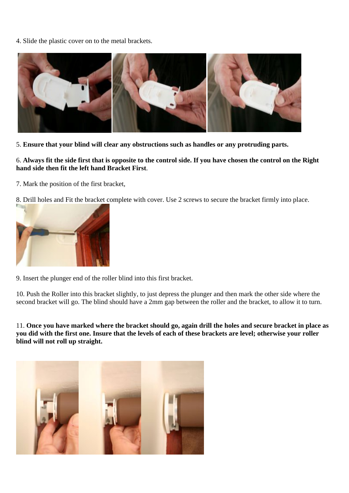4. Slide the plastic cover on to the metal brackets.



5. **Ensure that your blind will clear any obstructions such as handles or any protruding parts.**

6. **Always fit the side first that is opposite to the control side. If you have chosen the control on the Right hand side then fit the left hand Bracket First**.

7. Mark the position of the first bracket,

8. Drill holes and Fit the bracket complete with cover. Use 2 screws to secure the bracket firmly into place.



9. Insert the plunger end of the roller blind into this first bracket.

10. Push the Roller into this bracket slightly, to just depress the plunger and then mark the other side where the second bracket will go. The blind should have a 2mm gap between the roller and the bracket, to allow it to turn.

11. **Once you have marked where the bracket should go, again drill the holes and secure bracket in place as you did with the first one. Insure that the levels of each of these brackets are level; otherwise your roller blind will not roll up straight.**

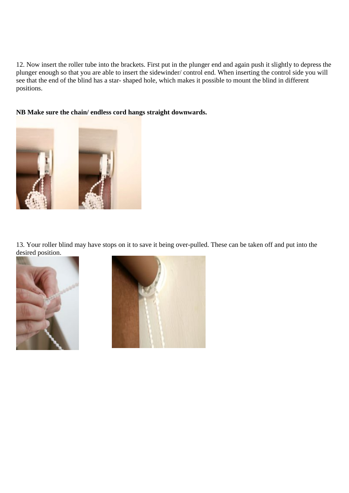12. Now insert the roller tube into the brackets. First put in the plunger end and again push it slightly to depress the plunger enough so that you are able to insert the sidewinder/ control end. When inserting the control side you will see that the end of the blind has a star- shaped hole, which makes it possible to mount the blind in different positions.

### **NB Make sure the chain/ endless cord hangs straight downwards.**



13. Your roller blind may have stops on it to save it being over-pulled. These can be taken off and put into the desired position.



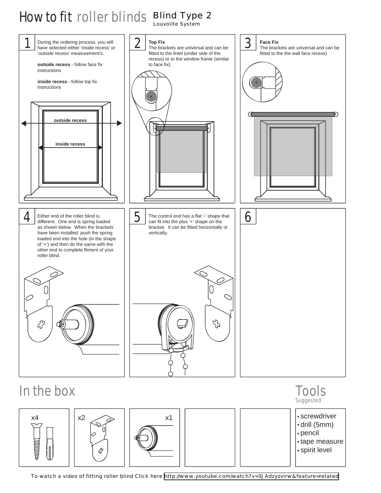### How to fit roller blinds Blind Type 2 Louvoilte System



# In the box Tools

| х4<br>ᠸ᠊ᡅ᠌<br>一部のことには、そのことをしているのです。<br>$\bigl\{\!\!\bigl\}$ | x <sub>2</sub><br>₽ | X' |  |  | · screwdriver<br>$\cdot$ drill (5mm)<br>$\cdot$ pencil<br>• tape measure<br>• spirit level |
|-------------------------------------------------------------|---------------------|----|--|--|--------------------------------------------------------------------------------------------|
|-------------------------------------------------------------|---------------------|----|--|--|--------------------------------------------------------------------------------------------|

Suggested

To watch a video of fitting roller blind Click here<http://www.youtube.com/watch?v=3JAdzyzvirw&feature=related>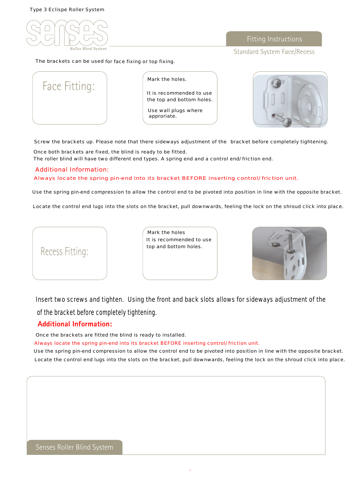Type 3 Eclispe Roller System



The brackets can be used for face fixing or top fixing.

Standard System Face/Recess

|  | Face Fitting: |  |
|--|---------------|--|
|  |               |  |
|  |               |  |

Mark the holes.

It is recommended to use the top and bottom holes.

Use wall plugs where approriate.



Screw the brackets up. Please note that there sideways adjustment of the bracket before completely tightening.

Once both brackets are fixed, the blind is ready to be fitted. The roller blind will have two different end types. A spring end and a control end/ friction end.

### Additional Information:

Always locate the spring pin-end into its bracket BEFORE inserting control/ friction unit.

Use the spring pin-end compression to allow the control end to be pivoted into position in line with the opposite bracket.

Locate the control end lugs into the slots on the bracket, pull downwards, feeling the lock on the shroud click into place.



Mark the holes It is recommended to use top and bottom holes.



Insert two screws and tighten. Using the front and back slots allows for sideways adjustment of the of the bracket before completely tightening.

### **Additional Information:**

Once the brackets are fitted the blind is ready to installed.

Always locate the spring pin-end into its bracket BEFORE inserting control/ friction unit.

Use the spring pin-end compression to allow the control end to be pivoted into position in line with the opposite bracket. Locate the control end lugs into the slots on the bracket, pull downwards, feeling the lock on the shroud click into place.